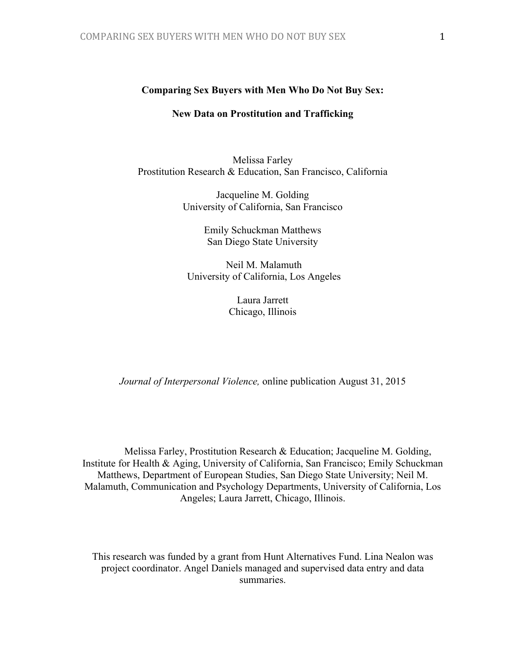#### **Comparing Sex Buyers with Men Who Do Not Buy Sex:**

## **New Data on Prostitution and Trafficking**

Melissa Farley Prostitution Research & Education, San Francisco, California

> Jacqueline M. Golding University of California, San Francisco

> > Emily Schuckman Matthews San Diego State University

 Neil M. Malamuth University of California, Los Angeles

> Laura Jarrett Chicago, Illinois

*Journal of Interpersonal Violence,* online publication August 31, 2015

Melissa Farley, Prostitution Research & Education; Jacqueline M. Golding, Institute for Health & Aging, University of California, San Francisco; Emily Schuckman Matthews, Department of European Studies, San Diego State University; Neil M. Malamuth, Communication and Psychology Departments, University of California, Los Angeles; Laura Jarrett, Chicago, Illinois.

This research was funded by a grant from Hunt Alternatives Fund. Lina Nealon was project coordinator. Angel Daniels managed and supervised data entry and data summaries.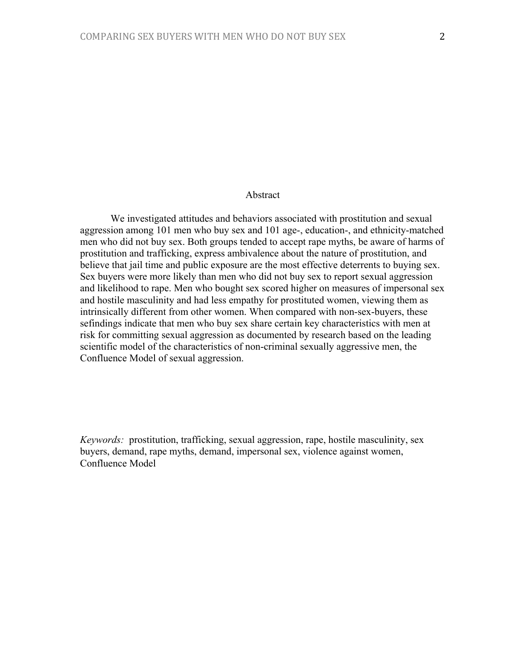# Abstract

We investigated attitudes and behaviors associated with prostitution and sexual aggression among 101 men who buy sex and 101 age-, education-, and ethnicity-matched men who did not buy sex. Both groups tended to accept rape myths, be aware of harms of prostitution and trafficking, express ambivalence about the nature of prostitution, and believe that jail time and public exposure are the most effective deterrents to buying sex. Sex buyers were more likely than men who did not buy sex to report sexual aggression and likelihood to rape. Men who bought sex scored higher on measures of impersonal sex and hostile masculinity and had less empathy for prostituted women, viewing them as intrinsically different from other women. When compared with non-sex-buyers, these sefindings indicate that men who buy sex share certain key characteristics with men at risk for committing sexual aggression as documented by research based on the leading scientific model of the characteristics of non-criminal sexually aggressive men, the Confluence Model of sexual aggression.

*Keywords:* prostitution, trafficking, sexual aggression, rape, hostile masculinity, sex buyers, demand, rape myths, demand, impersonal sex, violence against women, Confluence Model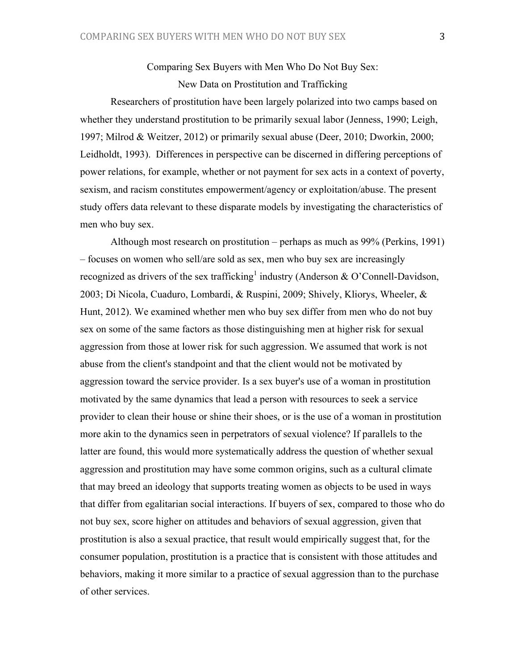# Comparing Sex Buyers with Men Who Do Not Buy Sex: New Data on Prostitution and Trafficking

Researchers of prostitution have been largely polarized into two camps based on whether they understand prostitution to be primarily sexual labor (Jenness, 1990; Leigh, 1997; Milrod & Weitzer, 2012) or primarily sexual abuse (Deer, 2010; Dworkin, 2000; Leidholdt, 1993). Differences in perspective can be discerned in differing perceptions of power relations, for example, whether or not payment for sex acts in a context of poverty, sexism, and racism constitutes empowerment/agency or exploitation/abuse. The present study offers data relevant to these disparate models by investigating the characteristics of men who buy sex.

Although most research on prostitution – perhaps as much as 99% (Perkins, 1991) – focuses on women who sell/are sold as sex, men who buy sex are increasingly recognized as drivers of the sex trafficking<sup>1</sup> industry (Anderson & O'Connell-Davidson, 2003; Di Nicola, Cuaduro, Lombardi, & Ruspini, 2009; Shively, Kliorys, Wheeler, & Hunt, 2012). We examined whether men who buy sex differ from men who do not buy sex on some of the same factors as those distinguishing men at higher risk for sexual aggression from those at lower risk for such aggression. We assumed that work is not abuse from the client's standpoint and that the client would not be motivated by aggression toward the service provider. Is a sex buyer's use of a woman in prostitution motivated by the same dynamics that lead a person with resources to seek a service provider to clean their house or shine their shoes, or is the use of a woman in prostitution more akin to the dynamics seen in perpetrators of sexual violence? If parallels to the latter are found, this would more systematically address the question of whether sexual aggression and prostitution may have some common origins, such as a cultural climate that may breed an ideology that supports treating women as objects to be used in ways that differ from egalitarian social interactions. If buyers of sex, compared to those who do not buy sex, score higher on attitudes and behaviors of sexual aggression, given that prostitution is also a sexual practice, that result would empirically suggest that, for the consumer population, prostitution is a practice that is consistent with those attitudes and behaviors, making it more similar to a practice of sexual aggression than to the purchase of other services.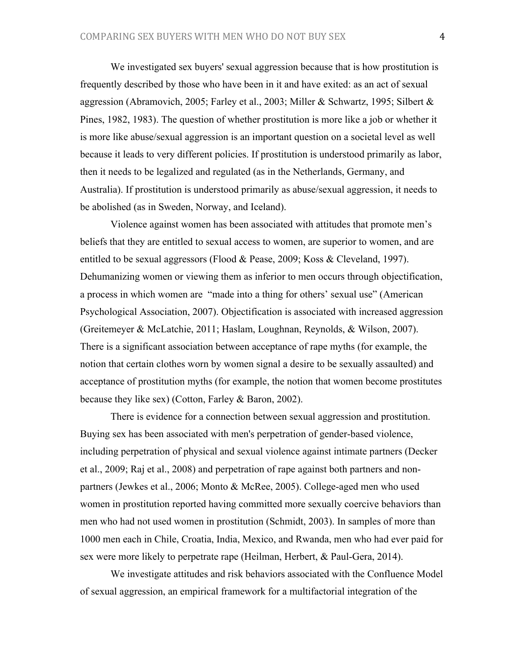We investigated sex buyers' sexual aggression because that is how prostitution is frequently described by those who have been in it and have exited: as an act of sexual aggression (Abramovich, 2005; Farley et al., 2003; Miller & Schwartz, 1995; Silbert & Pines, 1982, 1983). The question of whether prostitution is more like a job or whether it is more like abuse/sexual aggression is an important question on a societal level as well because it leads to very different policies. If prostitution is understood primarily as labor, then it needs to be legalized and regulated (as in the Netherlands, Germany, and Australia). If prostitution is understood primarily as abuse/sexual aggression, it needs to be abolished (as in Sweden, Norway, and Iceland).

Violence against women has been associated with attitudes that promote men's beliefs that they are entitled to sexual access to women, are superior to women, and are entitled to be sexual aggressors (Flood & Pease, 2009; Koss & Cleveland, 1997). Dehumanizing women or viewing them as inferior to men occurs through objectification, a process in which women are "made into a thing for others' sexual use" (American Psychological Association, 2007). Objectification is associated with increased aggression (Greitemeyer & McLatchie, 2011; Haslam, Loughnan, Reynolds, & Wilson, 2007). There is a significant association between acceptance of rape myths (for example, the notion that certain clothes worn by women signal a desire to be sexually assaulted) and acceptance of prostitution myths (for example, the notion that women become prostitutes because they like sex) (Cotton, Farley & Baron, 2002).

There is evidence for a connection between sexual aggression and prostitution. Buying sex has been associated with men's perpetration of gender-based violence, including perpetration of physical and sexual violence against intimate partners (Decker et al., 2009; Raj et al., 2008) and perpetration of rape against both partners and nonpartners (Jewkes et al., 2006; Monto & McRee, 2005). College-aged men who used women in prostitution reported having committed more sexually coercive behaviors than men who had not used women in prostitution (Schmidt, 2003). In samples of more than 1000 men each in Chile, Croatia, India, Mexico, and Rwanda, men who had ever paid for sex were more likely to perpetrate rape (Heilman, Herbert, & Paul-Gera, 2014).

We investigate attitudes and risk behaviors associated with the Confluence Model of sexual aggression, an empirical framework for a multifactorial integration of the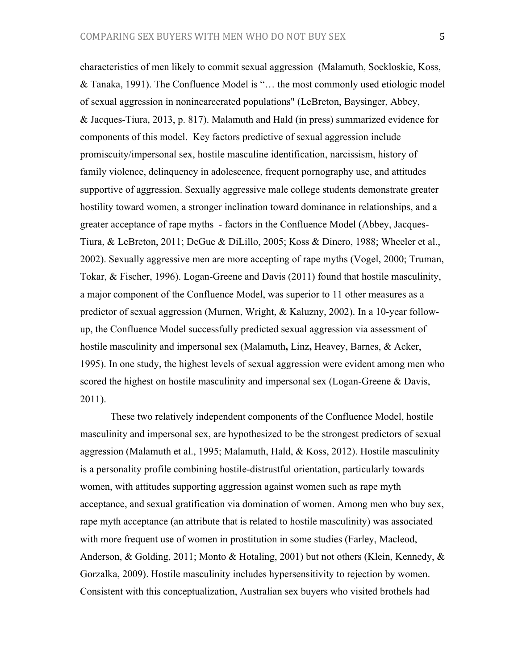characteristics of men likely to commit sexual aggression (Malamuth, Sockloskie, Koss, & Tanaka, 1991). The Confluence Model is "… the most commonly used etiologic model of sexual aggression in nonincarcerated populations" (LeBreton, Baysinger, Abbey, & Jacques-Tiura, 2013, p. 817). Malamuth and Hald (in press) summarized evidence for components of this model. Key factors predictive of sexual aggression include promiscuity/impersonal sex, hostile masculine identification, narcissism, history of family violence, delinquency in adolescence, frequent pornography use, and attitudes supportive of aggression. Sexually aggressive male college students demonstrate greater hostility toward women, a stronger inclination toward dominance in relationships, and a greater acceptance of rape myths - factors in the Confluence Model (Abbey, Jacques-Tiura, & LeBreton, 2011; DeGue & DiLillo, 2005; Koss & Dinero, 1988; Wheeler et al., 2002). Sexually aggressive men are more accepting of rape myths (Vogel, 2000; Truman, Tokar, & Fischer, 1996). Logan-Greene and Davis (2011) found that hostile masculinity, a major component of the Confluence Model, was superior to 11 other measures as a predictor of sexual aggression (Murnen, Wright, & Kaluzny, 2002). In a 10-year followup, the Confluence Model successfully predicted sexual aggression via assessment of hostile masculinity and impersonal sex (Malamuth**,** Linz**,** Heavey, Barnes, & Acker, 1995). In one study, the highest levels of sexual aggression were evident among men who scored the highest on hostile masculinity and impersonal sex (Logan-Greene & Davis, 2011).

These two relatively independent components of the Confluence Model, hostile masculinity and impersonal sex, are hypothesized to be the strongest predictors of sexual aggression (Malamuth et al., 1995; Malamuth, Hald, & Koss, 2012). Hostile masculinity is a personality profile combining hostile-distrustful orientation, particularly towards women, with attitudes supporting aggression against women such as rape myth acceptance, and sexual gratification via domination of women. Among men who buy sex, rape myth acceptance (an attribute that is related to hostile masculinity) was associated with more frequent use of women in prostitution in some studies (Farley, Macleod, Anderson, & Golding, 2011; Monto & Hotaling, 2001) but not others (Klein, Kennedy, & Gorzalka, 2009). Hostile masculinity includes hypersensitivity to rejection by women. Consistent with this conceptualization, Australian sex buyers who visited brothels had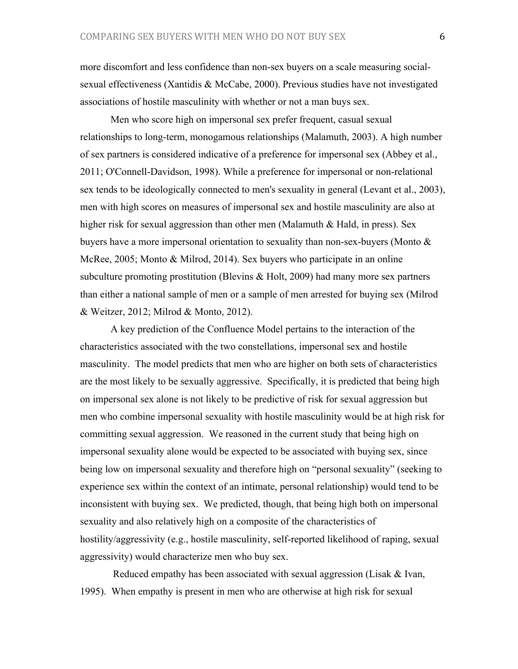more discomfort and less confidence than non-sex buyers on a scale measuring socialsexual effectiveness (Xantidis & McCabe, 2000). Previous studies have not investigated associations of hostile masculinity with whether or not a man buys sex.

Men who score high on impersonal sex prefer frequent, casual sexual relationships to long-term, monogamous relationships (Malamuth, 2003). A high number of sex partners is considered indicative of a preference for impersonal sex (Abbey et al., 2011; O'Connell-Davidson, 1998). While a preference for impersonal or non-relational sex tends to be ideologically connected to men's sexuality in general (Levant et al., 2003), men with high scores on measures of impersonal sex and hostile masculinity are also at higher risk for sexual aggression than other men (Malamuth & Hald, in press). Sex buyers have a more impersonal orientation to sexuality than non-sex-buyers (Monto & McRee, 2005; Monto & Milrod, 2014). Sex buyers who participate in an online subculture promoting prostitution (Blevins & Holt, 2009) had many more sex partners than either a national sample of men or a sample of men arrested for buying sex (Milrod & Weitzer, 2012; Milrod & Monto, 2012).

A key prediction of the Confluence Model pertains to the interaction of the characteristics associated with the two constellations, impersonal sex and hostile masculinity. The model predicts that men who are higher on both sets of characteristics are the most likely to be sexually aggressive. Specifically, it is predicted that being high on impersonal sex alone is not likely to be predictive of risk for sexual aggression but men who combine impersonal sexuality with hostile masculinity would be at high risk for committing sexual aggression. We reasoned in the current study that being high on impersonal sexuality alone would be expected to be associated with buying sex, since being low on impersonal sexuality and therefore high on "personal sexuality" (seeking to experience sex within the context of an intimate, personal relationship) would tend to be inconsistent with buying sex. We predicted, though, that being high both on impersonal sexuality and also relatively high on a composite of the characteristics of hostility/aggressivity (e.g., hostile masculinity, self-reported likelihood of raping, sexual aggressivity) would characterize men who buy sex.

Reduced empathy has been associated with sexual aggression (Lisak & Ivan, 1995). When empathy is present in men who are otherwise at high risk for sexual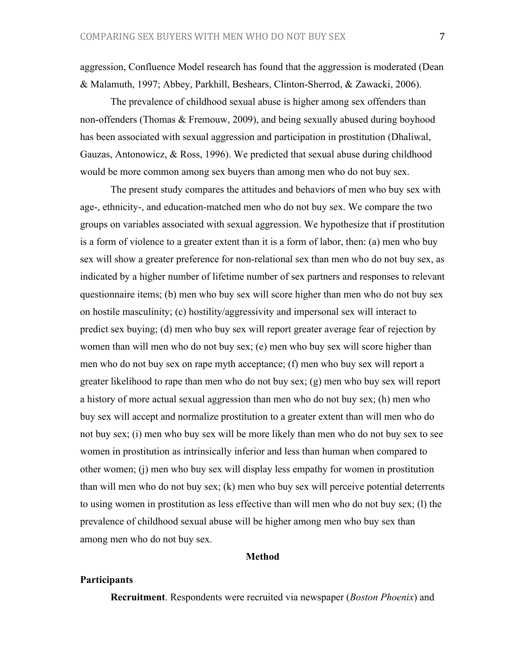aggression, Confluence Model research has found that the aggression is moderated (Dean & Malamuth, 1997; Abbey, Parkhill, Beshears, Clinton-Sherrod, & Zawacki, 2006).

The prevalence of childhood sexual abuse is higher among sex offenders than non-offenders (Thomas & Fremouw, 2009), and being sexually abused during boyhood has been associated with sexual aggression and participation in prostitution (Dhaliwal, Gauzas, Antonowicz, & Ross, 1996). We predicted that sexual abuse during childhood would be more common among sex buyers than among men who do not buy sex.

The present study compares the attitudes and behaviors of men who buy sex with age-, ethnicity-, and education-matched men who do not buy sex. We compare the two groups on variables associated with sexual aggression. We hypothesize that if prostitution is a form of violence to a greater extent than it is a form of labor, then: (a) men who buy sex will show a greater preference for non-relational sex than men who do not buy sex, as indicated by a higher number of lifetime number of sex partners and responses to relevant questionnaire items; (b) men who buy sex will score higher than men who do not buy sex on hostile masculinity; (c) hostility/aggressivity and impersonal sex will interact to predict sex buying; (d) men who buy sex will report greater average fear of rejection by women than will men who do not buy sex; (e) men who buy sex will score higher than men who do not buy sex on rape myth acceptance; (f) men who buy sex will report a greater likelihood to rape than men who do not buy sex; (g) men who buy sex will report a history of more actual sexual aggression than men who do not buy sex; (h) men who buy sex will accept and normalize prostitution to a greater extent than will men who do not buy sex; (i) men who buy sex will be more likely than men who do not buy sex to see women in prostitution as intrinsically inferior and less than human when compared to other women; (j) men who buy sex will display less empathy for women in prostitution than will men who do not buy sex; (k) men who buy sex will perceive potential deterrents to using women in prostitution as less effective than will men who do not buy sex; (l) the prevalence of childhood sexual abuse will be higher among men who buy sex than among men who do not buy sex.

## **Method**

#### **Participants**

**Recruitment**. Respondents were recruited via newspaper (*Boston Phoenix*) and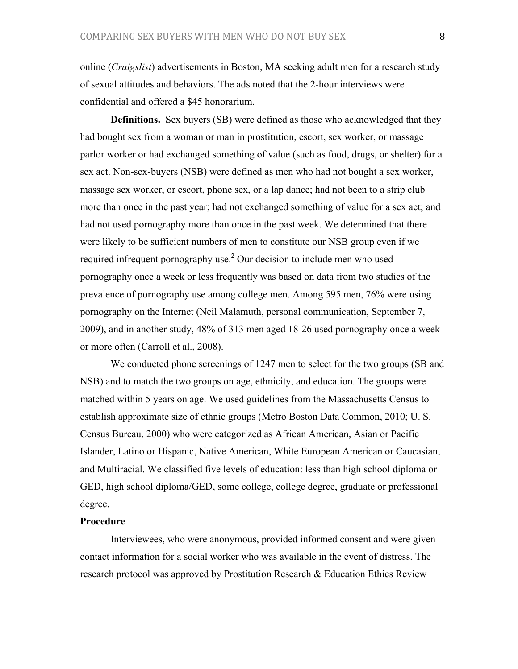online (*Craigslist*) advertisements in Boston, MA seeking adult men for a research study of sexual attitudes and behaviors. The ads noted that the 2-hour interviews were confidential and offered a \$45 honorarium.

**Definitions.** Sex buyers (SB) were defined as those who acknowledged that they had bought sex from a woman or man in prostitution, escort, sex worker, or massage parlor worker or had exchanged something of value (such as food, drugs, or shelter) for a sex act. Non-sex-buyers (NSB) were defined as men who had not bought a sex worker, massage sex worker, or escort, phone sex, or a lap dance; had not been to a strip club more than once in the past year; had not exchanged something of value for a sex act; and had not used pornography more than once in the past week. We determined that there were likely to be sufficient numbers of men to constitute our NSB group even if we required infrequent pornography use. $2$  Our decision to include men who used pornography once a week or less frequently was based on data from two studies of the prevalence of pornography use among college men. Among 595 men, 76% were using pornography on the Internet (Neil Malamuth, personal communication, September 7, 2009), and in another study, 48% of 313 men aged 18-26 used pornography once a week or more often (Carroll et al., 2008).

We conducted phone screenings of 1247 men to select for the two groups (SB and NSB) and to match the two groups on age, ethnicity, and education. The groups were matched within 5 years on age. We used guidelines from the Massachusetts Census to establish approximate size of ethnic groups (Metro Boston Data Common, 2010; U. S. Census Bureau, 2000) who were categorized as African American, Asian or Pacific Islander, Latino or Hispanic, Native American, White European American or Caucasian, and Multiracial. We classified five levels of education: less than high school diploma or GED, high school diploma/GED, some college, college degree, graduate or professional degree.

#### **Procedure**

Interviewees, who were anonymous, provided informed consent and were given contact information for a social worker who was available in the event of distress. The research protocol was approved by Prostitution Research & Education Ethics Review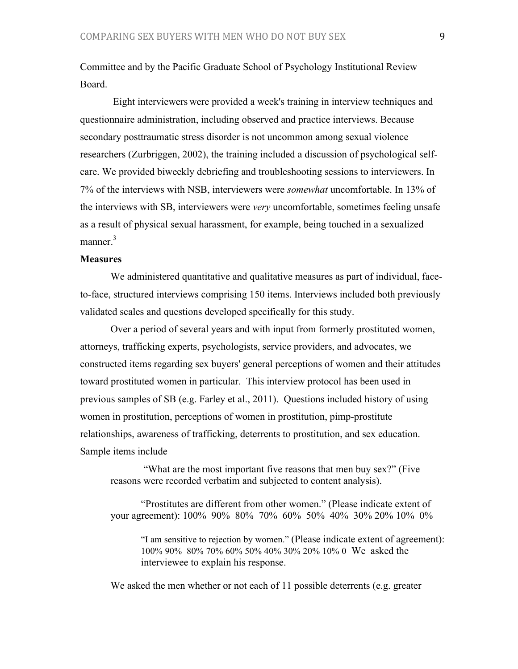Committee and by the Pacific Graduate School of Psychology Institutional Review Board.

 Eight interviewers were provided a week's training in interview techniques and questionnaire administration, including observed and practice interviews. Because secondary posttraumatic stress disorder is not uncommon among sexual violence researchers (Zurbriggen, 2002), the training included a discussion of psychological selfcare. We provided biweekly debriefing and troubleshooting sessions to interviewers. In 7% of the interviews with NSB, interviewers were *somewhat* uncomfortable. In 13% of the interviews with SB, interviewers were *very* uncomfortable, sometimes feeling unsafe as a result of physical sexual harassment, for example, being touched in a sexualized manner.<sup>3</sup>

## **Measures**

We administered quantitative and qualitative measures as part of individual, faceto-face, structured interviews comprising 150 items. Interviews included both previously validated scales and questions developed specifically for this study.

Over a period of several years and with input from formerly prostituted women, attorneys, trafficking experts, psychologists, service providers, and advocates, we constructed items regarding sex buyers' general perceptions of women and their attitudes toward prostituted women in particular. This interview protocol has been used in previous samples of SB (e.g. Farley et al., 2011). Questions included history of using women in prostitution, perceptions of women in prostitution, pimp-prostitute relationships, awareness of trafficking, deterrents to prostitution, and sex education. Sample items include

 "What are the most important five reasons that men buy sex?" (Five reasons were recorded verbatim and subjected to content analysis).

"Prostitutes are different from other women." (Please indicate extent of your agreement): 100% 90% 80% 70% 60% 50% 40% 30% 20% 10% 0%

"I am sensitive to rejection by women." (Please indicate extent of agreement): 100% 90% 80% 70% 60% 50% 40% 30% 20% 10% 0 We asked the interviewee to explain his response.

We asked the men whether or not each of 11 possible deterrents (e.g. greater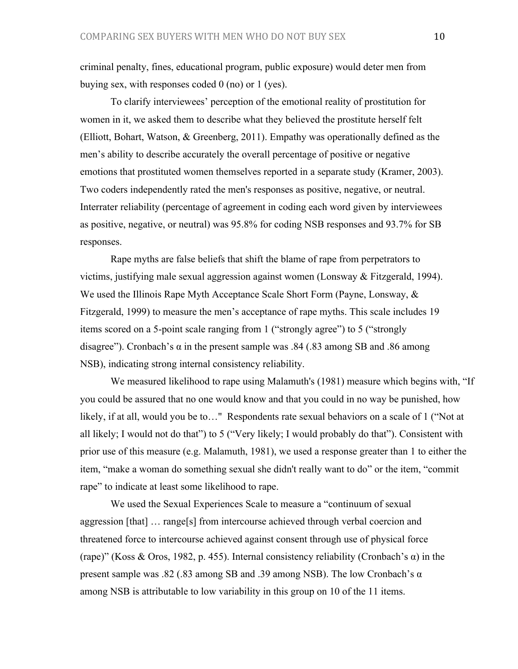criminal penalty, fines, educational program, public exposure) would deter men from buying sex, with responses coded 0 (no) or 1 (yes).

To clarify interviewees' perception of the emotional reality of prostitution for women in it, we asked them to describe what they believed the prostitute herself felt (Elliott, Bohart, Watson, & Greenberg, 2011). Empathy was operationally defined as the men's ability to describe accurately the overall percentage of positive or negative emotions that prostituted women themselves reported in a separate study (Kramer, 2003). Two coders independently rated the men's responses as positive, negative, or neutral. Interrater reliability (percentage of agreement in coding each word given by interviewees as positive, negative, or neutral) was 95.8% for coding NSB responses and 93.7% for SB responses.

Rape myths are false beliefs that shift the blame of rape from perpetrators to victims, justifying male sexual aggression against women (Lonsway  $&$  Fitzgerald, 1994). We used the Illinois Rape Myth Acceptance Scale Short Form (Payne, Lonsway, & Fitzgerald, 1999) to measure the men's acceptance of rape myths. This scale includes 19 items scored on a 5-point scale ranging from 1 ("strongly agree") to 5 ("strongly disagree"). Cronbach's  $\alpha$  in the present sample was .84 (.83 among SB and .86 among NSB), indicating strong internal consistency reliability.

We measured likelihood to rape using Malamuth's (1981) measure which begins with, "If you could be assured that no one would know and that you could in no way be punished, how likely, if at all, would you be to…" Respondents rate sexual behaviors on a scale of 1 ("Not at all likely; I would not do that") to 5 ("Very likely; I would probably do that"). Consistent with prior use of this measure (e.g. Malamuth, 1981), we used a response greater than 1 to either the item, "make a woman do something sexual she didn't really want to do" or the item, "commit rape" to indicate at least some likelihood to rape.

We used the Sexual Experiences Scale to measure a "continuum of sexual aggression [that] … range[s] from intercourse achieved through verbal coercion and threatened force to intercourse achieved against consent through use of physical force (rape)" (Koss & Oros, 1982, p. 455). Internal consistency reliability (Cronbach's  $\alpha$ ) in the present sample was  $.82$  ( $.83$  among SB and  $.39$  among NSB). The low Cronbach's  $\alpha$ among NSB is attributable to low variability in this group on 10 of the 11 items.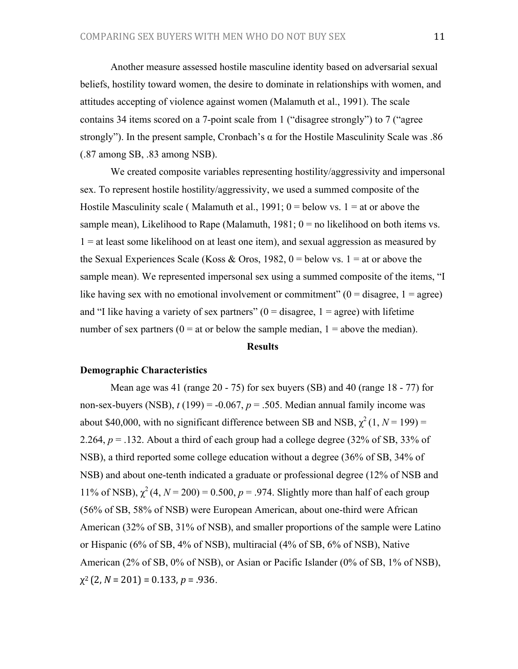Another measure assessed hostile masculine identity based on adversarial sexual beliefs, hostility toward women, the desire to dominate in relationships with women, and attitudes accepting of violence against women (Malamuth et al., 1991). The scale contains 34 items scored on a 7-point scale from 1 ("disagree strongly") to 7 ("agree strongly"). In the present sample, Cronbach's α for the Hostile Masculinity Scale was .86 (.87 among SB, .83 among NSB).

We created composite variables representing hostility/aggressivity and impersonal sex. To represent hostile hostility/aggressivity, we used a summed composite of the Hostile Masculinity scale (Malamuth et al., 1991;  $0 =$  below vs. 1 = at or above the sample mean), Likelihood to Rape (Malamuth,  $1981$ ;  $0 =$  no likelihood on both items vs.  $1 =$  at least some likelihood on at least one item), and sexual aggression as measured by the Sexual Experiences Scale (Koss & Oros, 1982,  $0 =$  below vs. 1 = at or above the sample mean). We represented impersonal sex using a summed composite of the items, "I like having sex with no emotional involvement or commitment"  $(0 = \text{disagree}, 1 = \text{agree})$ and "I like having a variety of sex partners"  $(0 = \text{disagree}, 1 = \text{agree})$  with lifetime number of sex partners ( $0 = at$  or below the sample median,  $1 =$  above the median).

## **Results**

#### **Demographic Characteristics**

Mean age was 41 (range 20 - 75) for sex buyers (SB) and 40 (range 18 - 77) for non-sex-buyers (NSB),  $t(199) = -0.067$ ,  $p = .505$ . Median annual family income was about \$40,000, with no significant difference between SB and NSB,  $\chi^2(1, N = 199)$  = 2.264,  $p = 0.132$ . About a third of each group had a college degree (32% of SB, 33% of NSB), a third reported some college education without a degree (36% of SB, 34% of NSB) and about one-tenth indicated a graduate or professional degree (12% of NSB and 11% of NSB),  $\chi^2$  (4,  $N = 200$ ) = 0.500,  $p = .974$ . Slightly more than half of each group (56% of SB, 58% of NSB) were European American, about one-third were African American (32% of SB, 31% of NSB), and smaller proportions of the sample were Latino or Hispanic (6% of SB, 4% of NSB), multiracial (4% of SB, 6% of NSB), Native American (2% of SB, 0% of NSB), or Asian or Pacific Islander (0% of SB, 1% of NSB),  $\chi^2$  (2, *N* = 201) = 0.133, *p* = .936.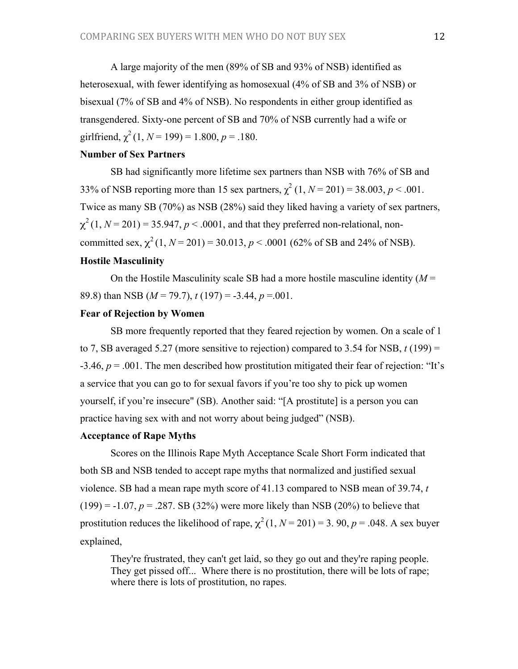A large majority of the men (89% of SB and 93% of NSB) identified as heterosexual, with fewer identifying as homosexual (4% of SB and 3% of NSB) or bisexual (7% of SB and 4% of NSB). No respondents in either group identified as transgendered. Sixty-one percent of SB and 70% of NSB currently had a wife or girlfriend,  $\chi^2$  (1, *N* = 199) = 1.800, *p* = .180.

# **Number of Sex Partners**

SB had significantly more lifetime sex partners than NSB with 76% of SB and 33% of NSB reporting more than 15 sex partners,  $\chi^2$  (1,  $N = 201$ ) = 38.003,  $p < .001$ . Twice as many SB (70%) as NSB (28%) said they liked having a variety of sex partners,  $\chi^2$ (1,  $N = 201$ ) = 35.947,  $p < .0001$ , and that they preferred non-relational, noncommitted sex,  $\chi^2$  (1,  $N = 201$ ) = 30.013,  $p < .0001$  (62% of SB and 24% of NSB).

# **Hostile Masculinity**

On the Hostile Masculinity scale SB had a more hostile masculine identity  $(M =$ 89.8) than NSB (*M* = 79.7), *t* (197) = -3.44, *p* =.001.

# **Fear of Rejection by Women**

SB more frequently reported that they feared rejection by women. On a scale of 1 to 7, SB averaged 5.27 (more sensitive to rejection) compared to 3.54 for NSB,  $t(199)$  = -3.46, *p* = .001. The men described how prostitution mitigated their fear of rejection: "It's a service that you can go to for sexual favors if you're too shy to pick up women yourself, if you're insecure" (SB). Another said: "[A prostitute] is a person you can practice having sex with and not worry about being judged" (NSB).

## **Acceptance of Rape Myths**

Scores on the Illinois Rape Myth Acceptance Scale Short Form indicated that both SB and NSB tended to accept rape myths that normalized and justified sexual violence. SB had a mean rape myth score of 41.13 compared to NSB mean of 39.74, *t*  $(199) = -1.07$ ,  $p = .287$ . SB (32%) were more likely than NSB (20%) to believe that prostitution reduces the likelihood of rape,  $\chi^2(1, N = 201) = 3.90$ ,  $p = .048$ . A sex buyer explained,

They're frustrated, they can't get laid, so they go out and they're raping people. They get pissed off... Where there is no prostitution, there will be lots of rape; where there is lots of prostitution, no rapes.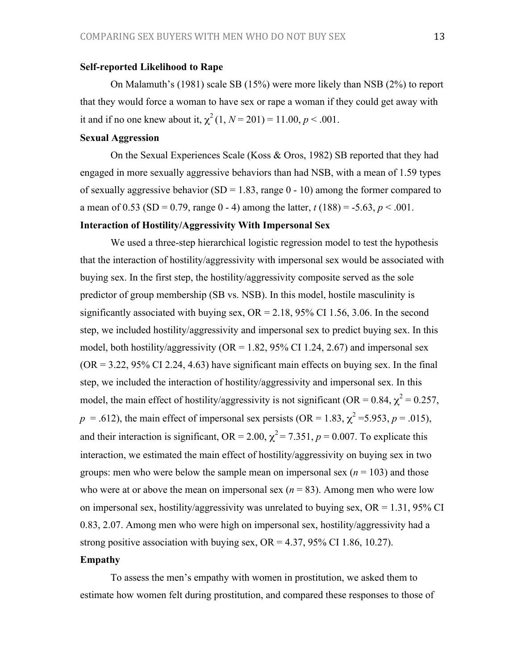## **Self-reported Likelihood to Rape**

On Malamuth's (1981) scale SB (15%) were more likely than NSB (2%) to report that they would force a woman to have sex or rape a woman if they could get away with it and if no one knew about it,  $\chi^2(1, N = 201) = 11.00, p < .001$ .

# **Sexual Aggression**

On the Sexual Experiences Scale (Koss & Oros, 1982) SB reported that they had engaged in more sexually aggressive behaviors than had NSB, with a mean of 1.59 types of sexually aggressive behavior (SD = 1.83, range  $0 - 10$ ) among the former compared to a mean of 0.53 (SD = 0.79, range 0 - 4) among the latter,  $t(188) = -5.63$ ,  $p < .001$ .

### **Interaction of Hostility/Aggressivity With Impersonal Sex**

We used a three-step hierarchical logistic regression model to test the hypothesis that the interaction of hostility/aggressivity with impersonal sex would be associated with buying sex. In the first step, the hostility/aggressivity composite served as the sole predictor of group membership (SB vs. NSB). In this model, hostile masculinity is significantly associated with buying sex,  $OR = 2.18$ , 95% CI 1.56, 3.06. In the second step, we included hostility/aggressivity and impersonal sex to predict buying sex. In this model, both hostility/aggressivity ( $OR = 1.82$ , 95% CI 1.24, 2.67) and impersonal sex  $(OR = 3.22, 95\% \text{ CI } 2.24, 4.63)$  have significant main effects on buying sex. In the final step, we included the interaction of hostility/aggressivity and impersonal sex. In this model, the main effect of hostility/aggressivity is not significant (OR = 0.84,  $\chi^2$  = 0.257,  $p = .612$ ), the main effect of impersonal sex persists (OR = 1.83,  $\chi^2$  = 5.953,  $p = .015$ ), and their interaction is significant, OR = 2.00,  $\chi^2$  = 7.351, *p* = 0.007. To explicate this interaction, we estimated the main effect of hostility/aggressivity on buying sex in two groups: men who were below the sample mean on impersonal sex  $(n = 103)$  and those who were at or above the mean on impersonal sex  $(n = 83)$ . Among men who were low on impersonal sex, hostility/aggressivity was unrelated to buying sex,  $OR = 1.31$ , 95% CI 0.83, 2.07. Among men who were high on impersonal sex, hostility/aggressivity had a strong positive association with buying sex,  $OR = 4.37, 95\% \text{ CI}$  1.86, 10.27).

# **Empathy**

To assess the men's empathy with women in prostitution, we asked them to estimate how women felt during prostitution, and compared these responses to those of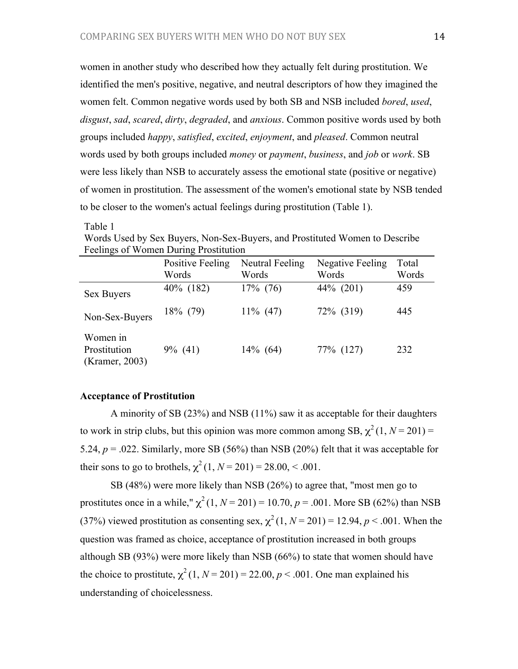women in another study who described how they actually felt during prostitution. We identified the men's positive, negative, and neutral descriptors of how they imagined the women felt. Common negative words used by both SB and NSB included *bored*, *used*, *disgust*, *sad*, *scared*, *dirty*, *degraded*, and *anxious*. Common positive words used by both groups included *happy*, *satisfied*, *excited*, *enjoyment*, and *pleased*. Common neutral words used by both groups included *money* or *payment*, *business*, and *job* or *work*. SB were less likely than NSB to accurately assess the emotional state (positive or negative) of women in prostitution. The assessment of the women's emotional state by NSB tended to be closer to the women's actual feelings during prostitution (Table 1).

| <b>Feelings of Women During Prostitution</b> |                                  |                                 |                                  |                |
|----------------------------------------------|----------------------------------|---------------------------------|----------------------------------|----------------|
|                                              | <b>Positive Feeling</b><br>Words | <b>Neutral Feeling</b><br>Words | <b>Negative Feeling</b><br>Words | Total<br>Words |
| Sex Buyers                                   | 40% (182)                        | $17\%$ (76)                     | 44% (201)                        | 459            |
| Non-Sex-Buyers                               | $18\%$ (79)                      | $11\%$ (47)                     | 72\% (319)                       | 445            |
| Women in<br>Prostitution<br>(Kramer, 2003)   | $9\%$ (41)                       | $14\%$ (64)                     | 77% (127)                        | 232            |

Words Used by Sex Buyers, Non-Sex-Buyers, and Prostituted Women to Describe Feelings of Women During Prostitution

## **Acceptance of Prostitution**

Table 1

A minority of SB (23%) and NSB (11%) saw it as acceptable for their daughters to work in strip clubs, but this opinion was more common among SB,  $\chi^2(1, N = 201)$  = 5.24,  $p = 0.022$ . Similarly, more SB (56%) than NSB (20%) felt that it was acceptable for their sons to go to brothels,  $\chi^2(1, N = 201) = 28.00, < .001$ .

SB (48%) were more likely than NSB (26%) to agree that, "most men go to prostitutes once in a while,"  $\chi^2(1, N = 201) = 10.70$ ,  $p = .001$ . More SB (62%) than NSB (37%) viewed prostitution as consenting sex,  $\chi^2(1, N = 201) = 12.94$ ,  $p < .001$ . When the question was framed as choice, acceptance of prostitution increased in both groups although SB (93%) were more likely than NSB (66%) to state that women should have the choice to prostitute,  $\chi^2$  (1, *N* = 201) = 22.00, *p* < .001. One man explained his understanding of choicelessness.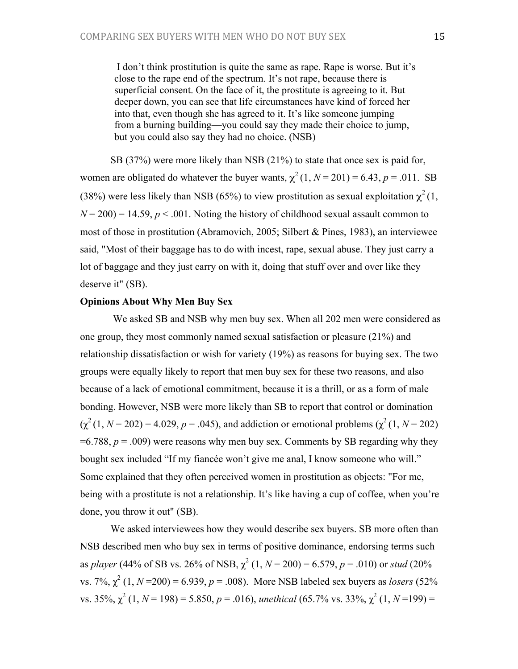I don't think prostitution is quite the same as rape. Rape is worse. But it's close to the rape end of the spectrum. It's not rape, because there is superficial consent. On the face of it, the prostitute is agreeing to it. But deeper down, you can see that life circumstances have kind of forced her into that, even though she has agreed to it. It's like someone jumping from a burning building—you could say they made their choice to jump, but you could also say they had no choice. (NSB)

SB (37%) were more likely than NSB (21%) to state that once sex is paid for, women are obligated do whatever the buyer wants,  $\chi^2(1, N = 201) = 6.43$ ,  $p = .011$ . SB (38%) were less likely than NSB (65%) to view prostitution as sexual exploitation  $\chi^2(1)$ ,  $N = 200$ ) = 14.59,  $p < .001$ . Noting the history of childhood sexual assault common to most of those in prostitution (Abramovich, 2005; Silbert & Pines, 1983), an interviewee said, "Most of their baggage has to do with incest, rape, sexual abuse. They just carry a lot of baggage and they just carry on with it, doing that stuff over and over like they deserve it" (SB).

#### **Opinions About Why Men Buy Sex**

 We asked SB and NSB why men buy sex. When all 202 men were considered as one group, they most commonly named sexual satisfaction or pleasure (21%) and relationship dissatisfaction or wish for variety (19%) as reasons for buying sex. The two groups were equally likely to report that men buy sex for these two reasons, and also because of a lack of emotional commitment, because it is a thrill, or as a form of male bonding. However, NSB were more likely than SB to report that control or domination  $(\chi^2(1, N = 202) = 4.029, p = .045)$ , and addiction or emotional problems  $(\chi^2(1, N = 202))$  $=6.788$ ,  $p = .009$ ) were reasons why men buy sex. Comments by SB regarding why they bought sex included "If my fiancée won't give me anal, I know someone who will." Some explained that they often perceived women in prostitution as objects: "For me, being with a prostitute is not a relationship. It's like having a cup of coffee, when you're done, you throw it out" (SB).

We asked interviewees how they would describe sex buyers. SB more often than NSB described men who buy sex in terms of positive dominance, endorsing terms such as *player* (44% of SB vs. 26% of NSB,  $\chi^2$  (1,  $N = 200$ ) = 6.579,  $p = .010$ ) or *stud* (20% vs. 7%,  $\chi^2$  (1,  $N = 200$ ) = 6.939,  $p = .008$ ). More NSB labeled sex buyers as *losers* (52%) vs.  $35\%$ ,  $\chi^2$  (1, *N* = 198) = 5.850, *p* = .016), *unethical* (65.7% vs.  $33\%$ ,  $\chi^2$  (1, *N* = 199) =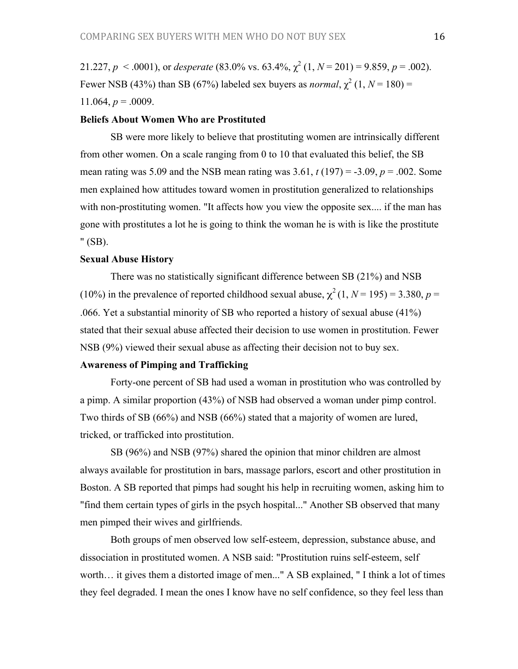21.227,  $p < .0001$ ), or *desperate* (83.0% vs. 63.4%,  $\chi^2$  (1,  $N = 201$ ) = 9.859,  $p = .002$ ). Fewer NSB (43%) than SB (67%) labeled sex buyers as *normal*,  $\chi^2$  (1,  $N = 180$ ) = 11.064,  $p = .0009$ .

#### **Beliefs About Women Who are Prostituted**

SB were more likely to believe that prostituting women are intrinsically different from other women. On a scale ranging from 0 to 10 that evaluated this belief, the SB mean rating was 5.09 and the NSB mean rating was 3.61, *t* (197) = -3.09, *p* = .002. Some men explained how attitudes toward women in prostitution generalized to relationships with non-prostituting women. "It affects how you view the opposite sex.... if the man has gone with prostitutes a lot he is going to think the woman he is with is like the prostitute " (SB).

## **Sexual Abuse History**

There was no statistically significant difference between SB (21%) and NSB (10%) in the prevalence of reported childhood sexual abuse,  $\chi^2$  (1, *N* = 195) = 3.380, *p* = .066. Yet a substantial minority of SB who reported a history of sexual abuse (41%) stated that their sexual abuse affected their decision to use women in prostitution. Fewer NSB (9%) viewed their sexual abuse as affecting their decision not to buy sex.

# **Awareness of Pimping and Trafficking**

Forty-one percent of SB had used a woman in prostitution who was controlled by a pimp. A similar proportion (43%) of NSB had observed a woman under pimp control. Two thirds of SB (66%) and NSB (66%) stated that a majority of women are lured, tricked, or trafficked into prostitution.

SB (96%) and NSB (97%) shared the opinion that minor children are almost always available for prostitution in bars, massage parlors, escort and other prostitution in Boston. A SB reported that pimps had sought his help in recruiting women, asking him to "find them certain types of girls in the psych hospital..." Another SB observed that many men pimped their wives and girlfriends.

Both groups of men observed low self-esteem, depression, substance abuse, and dissociation in prostituted women. A NSB said: "Prostitution ruins self-esteem, self worth… it gives them a distorted image of men..." A SB explained, " I think a lot of times they feel degraded. I mean the ones I know have no self confidence, so they feel less than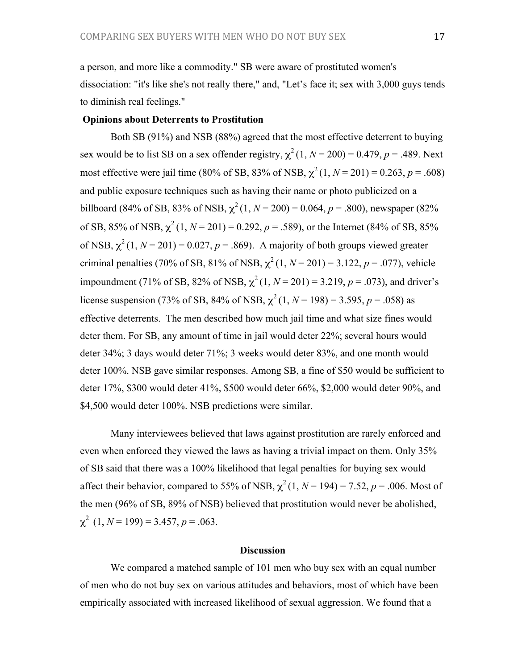a person, and more like a commodity." SB were aware of prostituted women's dissociation: "it's like she's not really there," and, "Let's face it; sex with 3,000 guys tends to diminish real feelings."

#### **Opinions about Deterrents to Prostitution**

Both SB (91%) and NSB (88%) agreed that the most effective deterrent to buying sex would be to list SB on a sex offender registry,  $\chi^2(1, N = 200) = 0.479$ ,  $p = .489$ . Next most effective were jail time (80% of SB, 83% of NSB,  $\chi^2(1, N = 201) = 0.263$ ,  $p = .608$ ) and public exposure techniques such as having their name or photo publicized on a billboard (84% of SB, 83% of NSB,  $\chi^2(1, N = 200) = 0.064$ ,  $p = .800$ ), newspaper (82%) of SB, 85% of NSB,  $\chi^2$  (1, *N* = 201) = 0.292, *p* = .589), or the Internet (84% of SB, 85% of NSB,  $\chi^2(1, N=201) = 0.027$ ,  $p = .869$ ). A majority of both groups viewed greater criminal penalties (70% of SB, 81% of NSB,  $\chi^2(1, N = 201) = 3.122$ ,  $p = .077$ ), vehicle impoundment (71% of SB, 82% of NSB,  $\chi^2$  (1, *N* = 201) = 3.219, *p* = .073), and driver's license suspension (73% of SB, 84% of NSB,  $\chi^2$  (1, *N* = 198) = 3.595, *p* = .058) as effective deterrents. The men described how much jail time and what size fines would deter them. For SB, any amount of time in jail would deter 22%; several hours would deter 34%; 3 days would deter 71%; 3 weeks would deter 83%, and one month would deter 100%. NSB gave similar responses. Among SB, a fine of \$50 would be sufficient to deter 17%, \$300 would deter 41%, \$500 would deter 66%, \$2,000 would deter 90%, and \$4,500 would deter 100%. NSB predictions were similar.

Many interviewees believed that laws against prostitution are rarely enforced and even when enforced they viewed the laws as having a trivial impact on them. Only 35% of SB said that there was a 100% likelihood that legal penalties for buying sex would affect their behavior, compared to 55% of NSB,  $\chi^2$  (1, *N* = 194) = 7.52, *p* = .006. Most of the men (96% of SB, 89% of NSB) believed that prostitution would never be abolished,  $\chi^2$  (1, *N* = 199) = 3.457, *p* = .063.

#### **Discussion**

We compared a matched sample of 101 men who buy sex with an equal number of men who do not buy sex on various attitudes and behaviors, most of which have been empirically associated with increased likelihood of sexual aggression. We found that a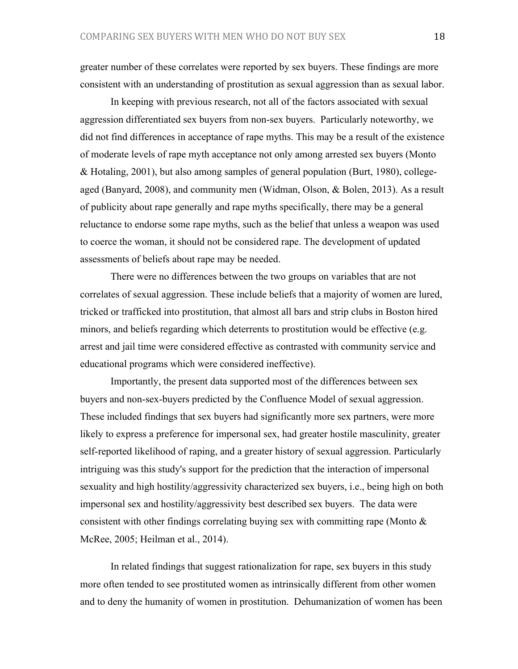greater number of these correlates were reported by sex buyers. These findings are more consistent with an understanding of prostitution as sexual aggression than as sexual labor.

In keeping with previous research, not all of the factors associated with sexual aggression differentiated sex buyers from non-sex buyers. Particularly noteworthy, we did not find differences in acceptance of rape myths. This may be a result of the existence of moderate levels of rape myth acceptance not only among arrested sex buyers (Monto & Hotaling, 2001), but also among samples of general population (Burt, 1980), collegeaged (Banyard, 2008), and community men (Widman, Olson, & Bolen, 2013). As a result of publicity about rape generally and rape myths specifically, there may be a general reluctance to endorse some rape myths, such as the belief that unless a weapon was used to coerce the woman, it should not be considered rape. The development of updated assessments of beliefs about rape may be needed.

There were no differences between the two groups on variables that are not correlates of sexual aggression. These include beliefs that a majority of women are lured, tricked or trafficked into prostitution, that almost all bars and strip clubs in Boston hired minors, and beliefs regarding which deterrents to prostitution would be effective (e.g. arrest and jail time were considered effective as contrasted with community service and educational programs which were considered ineffective).

Importantly, the present data supported most of the differences between sex buyers and non-sex-buyers predicted by the Confluence Model of sexual aggression. These included findings that sex buyers had significantly more sex partners, were more likely to express a preference for impersonal sex, had greater hostile masculinity, greater self-reported likelihood of raping, and a greater history of sexual aggression. Particularly intriguing was this study's support for the prediction that the interaction of impersonal sexuality and high hostility/aggressivity characterized sex buyers, i.e., being high on both impersonal sex and hostility/aggressivity best described sex buyers. The data were consistent with other findings correlating buying sex with committing rape (Monto  $\&$ McRee, 2005; Heilman et al., 2014).

In related findings that suggest rationalization for rape, sex buyers in this study more often tended to see prostituted women as intrinsically different from other women and to deny the humanity of women in prostitution. Dehumanization of women has been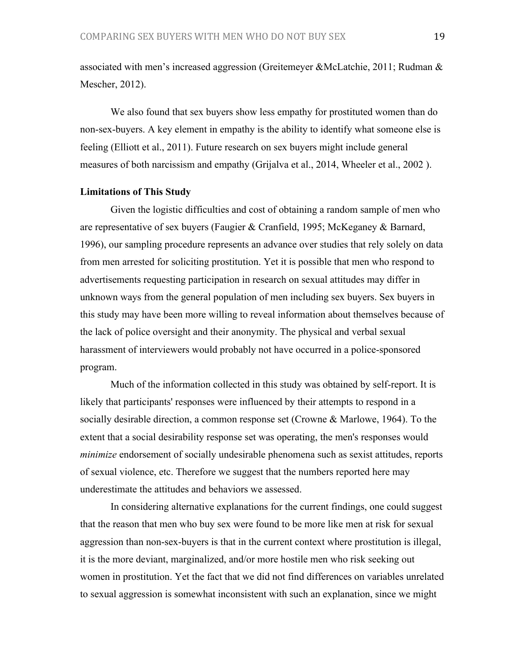associated with men's increased aggression (Greitemeyer &McLatchie, 2011; Rudman & Mescher, 2012).

We also found that sex buyers show less empathy for prostituted women than do non-sex-buyers. A key element in empathy is the ability to identify what someone else is feeling (Elliott et al., 2011). Future research on sex buyers might include general measures of both narcissism and empathy (Grijalva et al., 2014, Wheeler et al., 2002 ).

#### **Limitations of This Study**

Given the logistic difficulties and cost of obtaining a random sample of men who are representative of sex buyers (Faugier & Cranfield, 1995; McKeganey & Barnard, 1996), our sampling procedure represents an advance over studies that rely solely on data from men arrested for soliciting prostitution. Yet it is possible that men who respond to advertisements requesting participation in research on sexual attitudes may differ in unknown ways from the general population of men including sex buyers. Sex buyers in this study may have been more willing to reveal information about themselves because of the lack of police oversight and their anonymity. The physical and verbal sexual harassment of interviewers would probably not have occurred in a police-sponsored program.

Much of the information collected in this study was obtained by self-report. It is likely that participants' responses were influenced by their attempts to respond in a socially desirable direction, a common response set (Crowne & Marlowe, 1964). To the extent that a social desirability response set was operating, the men's responses would *minimize* endorsement of socially undesirable phenomena such as sexist attitudes, reports of sexual violence, etc. Therefore we suggest that the numbers reported here may underestimate the attitudes and behaviors we assessed.

In considering alternative explanations for the current findings, one could suggest that the reason that men who buy sex were found to be more like men at risk for sexual aggression than non-sex-buyers is that in the current context where prostitution is illegal, it is the more deviant, marginalized, and/or more hostile men who risk seeking out women in prostitution. Yet the fact that we did not find differences on variables unrelated to sexual aggression is somewhat inconsistent with such an explanation, since we might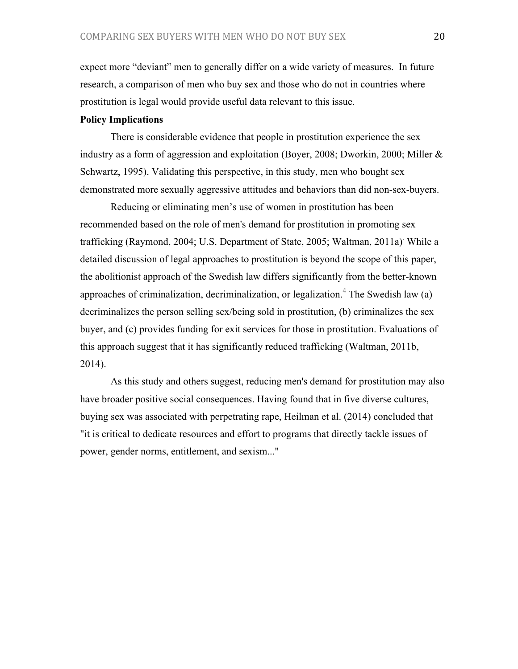expect more "deviant" men to generally differ on a wide variety of measures. In future research, a comparison of men who buy sex and those who do not in countries where prostitution is legal would provide useful data relevant to this issue.

### **Policy Implications**

There is considerable evidence that people in prostitution experience the sex industry as a form of aggression and exploitation (Boyer, 2008; Dworkin, 2000; Miller & Schwartz, 1995). Validating this perspective, in this study, men who bought sex demonstrated more sexually aggressive attitudes and behaviors than did non-sex-buyers.

Reducing or eliminating men's use of women in prostitution has been recommended based on the role of men's demand for prostitution in promoting sex trafficking (Raymond, 2004; U.S. Department of State, 2005; Waltman, 2011a). While a detailed discussion of legal approaches to prostitution is beyond the scope of this paper, the abolitionist approach of the Swedish law differs significantly from the better-known approaches of criminalization, decriminalization, or legalization.<sup>4</sup> The Swedish law  $(a)$ decriminalizes the person selling sex/being sold in prostitution, (b) criminalizes the sex buyer, and (c) provides funding for exit services for those in prostitution. Evaluations of this approach suggest that it has significantly reduced trafficking (Waltman, 2011b, 2014).

As this study and others suggest, reducing men's demand for prostitution may also have broader positive social consequences. Having found that in five diverse cultures, buying sex was associated with perpetrating rape, Heilman et al. (2014) concluded that "it is critical to dedicate resources and effort to programs that directly tackle issues of power, gender norms, entitlement, and sexism..."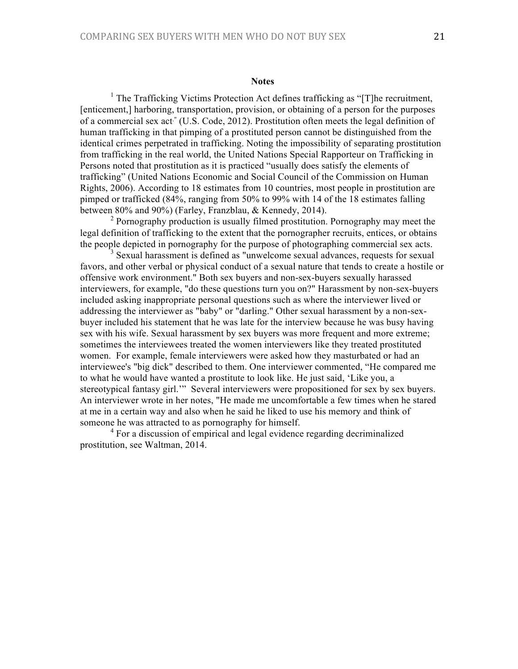#### **Notes**

<sup>1</sup> The Trafficking Victims Protection Act defines trafficking as "[T]he recruitment, [enticement,] harboring, transportation, provision, or obtaining of a person for the purposes of a commercial sex act." (U.S. Code, 2012). Prostitution often meets the legal definition of human trafficking in that pimping of a prostituted person cannot be distinguished from the identical crimes perpetrated in trafficking. Noting the impossibility of separating prostitution from trafficking in the real world, the United Nations Special Rapporteur on Trafficking in Persons noted that prostitution as it is practiced "usually does satisfy the elements of trafficking" (United Nations Economic and Social Council of the Commission on Human Rights, 2006). According to 18 estimates from 10 countries, most people in prostitution are pimped or trafficked (84%, ranging from 50% to 99% with 14 of the 18 estimates falling between 80% and 90%) (Farley, Franzblau, & Kennedy, 2014).

<sup>2</sup> Pornography production is usually filmed prostitution. Pornography may meet the legal definition of trafficking to the extent that the pornographer recruits, entices, or obtains the people depicted in pornography for the purpose of photographing commercial sex acts.

<sup>3</sup> Sexual harassment is defined as "unwelcome sexual advances, requests for sexual favors, and other verbal or physical conduct of a sexual nature that tends to create a hostile or offensive work environment." Both sex buyers and non-sex-buyers sexually harassed interviewers, for example, "do these questions turn you on?" Harassment by non-sex-buyers included asking inappropriate personal questions such as where the interviewer lived or addressing the interviewer as "baby" or "darling." Other sexual harassment by a non-sexbuyer included his statement that he was late for the interview because he was busy having sex with his wife. Sexual harassment by sex buyers was more frequent and more extreme; sometimes the interviewees treated the women interviewers like they treated prostituted women. For example, female interviewers were asked how they masturbated or had an interviewee's "big dick" described to them. One interviewer commented, "He compared me to what he would have wanted a prostitute to look like. He just said, 'Like you, a stereotypical fantasy girl.'" Several interviewers were propositioned for sex by sex buyers. An interviewer wrote in her notes, "He made me uncomfortable a few times when he stared at me in a certain way and also when he said he liked to use his memory and think of someone he was attracted to as pornography for himself.

<sup>4</sup> For a discussion of empirical and legal evidence regarding decriminalized prostitution, see Waltman, 2014.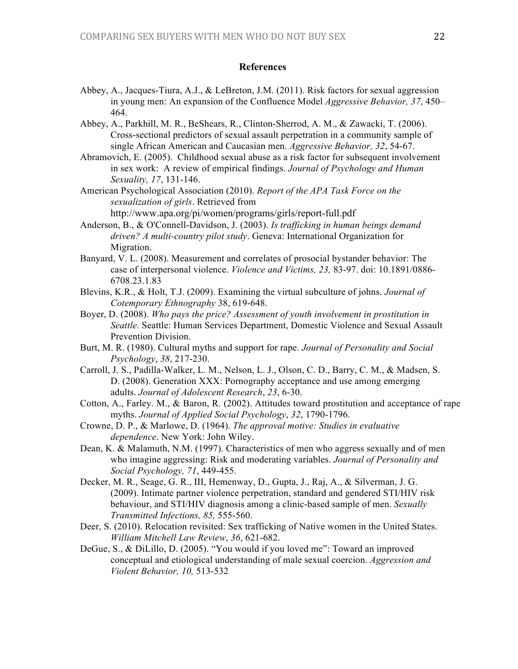## **References**

- Abbey, A., Jacques-Tiura, A.J., & LeBreton, J.M. (2011). Risk factors for sexual aggression in young men: An expansion of the Confluence Model *Aggressive Behavior, 37*, 450– 464.
- Abbey, A., Parkhill, M. R., BeShears, R., Clinton-Sherrod, A. M., & Zawacki, T. (2006). Cross-sectional predictors of sexual assault perpetration in a community sample of single African American and Caucasian men. *Aggressive Behavior, 32*, 54-67.
- Abramovich, E. (2005). Childhood sexual abuse as a risk factor for subsequent involvement in sex work: A review of empirical findings. *Journal of Psychology and Human Sexuality, 17*, 131-146.

American Psychological Association (2010). *Report of the APA Task Force on the sexualization of girls*. Retrieved from http://www.apa.org/pi/women/programs/girls/report-full.pdf

- Anderson, B., & O'Connell-Davidson, J. (2003). *Is trafficking in human beings demand driven? A multi-country pilot study*. Geneva: International Organization for Migration.
- Banyard, V. L. (2008). Measurement and correlates of prosocial bystander behavior: The case of interpersonal violence. *Violence and Victims, 23,* 83-97. doi: 10.1891/0886- 6708.23.1.83
- Blevins, K.R., & Holt, T.J. (2009). Examining the virtual subculture of johns. *Journal of Cotemporary Ethnography* 38, 619-648.
- Boyer, D. (2008). *Who pays the price? Assessment of youth involvement in prostitution in Seattle.* Seattle: Human Services Department, Domestic Violence and Sexual Assault Prevention Division.
- Burt, M. R. (1980). Cultural myths and support for rape. *Journal of Personality and Social Psychology*, *38*, 217-230.
- Carroll, J. S., Padilla-Walker, L. M., Nelson, L. J., Olson, C. D., Barry, C. M., & Madsen, S. D. (2008). Generation XXX: Pornography acceptance and use among emerging adults. *Journal of Adolescent Research*, *23*, 6-30.
- Cotton, A., Farley. M., & Baron, R. (2002). Attitudes toward prostitution and acceptance of rape myths. *Journal of Applied Social Psychology*, *32*, 1790-1796.
- Crowne, D. P., & Marlowe, D. (1964). *The approval motive: Studies in evaluative dependence*. New York: John Wiley.
- Dean, K. & Malamuth, N.M. (1997). Characteristics of men who aggress sexually and of men who imagine aggressing: Risk and moderating variables. *Journal of Personality and Social Psychology, 71*, 449-455.
- Decker, M. R., Seage, G. R., III, Hemenway, D., Gupta, J., Raj, A., & Silverman, J. G. (2009). Intimate partner violence perpetration, standard and gendered STI/HIV risk behaviour, and STI/HIV diagnosis among a clinic-based sample of men. *Sexually Transmitted Infections, 85,* 555-560.
- Deer, S. (2010). Relocation revisited: Sex trafficking of Native women in the United States. *William Mitchell Law Review*, *36*, 621-682.
- DeGue, S., & DiLillo, D. (2005). "You would if you loved me": Toward an improved conceptual and etiological understanding of male sexual coercion. *Aggression and Violent Behavior, 10,* 513-532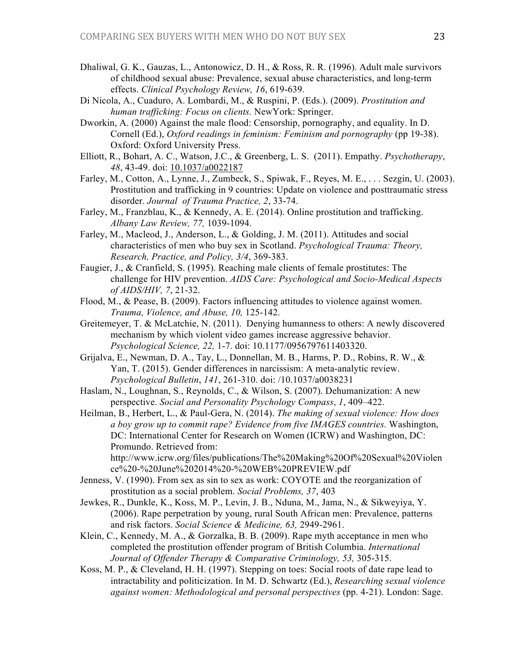- Dhaliwal, G. K., Gauzas, L., Antonowicz, D. H., & Ross, R. R. (1996). Adult male survivors of childhood sexual abuse: Prevalence, sexual abuse characteristics, and long-term effects. *Clinical Psychology Review, 16*, 619-639.
- Di Nicola, A., Cuaduro, A. Lombardi, M., & Ruspini, P. (Eds.). (2009). *Prostitution and human trafficking: Focus on clients.* NewYork: Springer.
- Dworkin, A. (2000) Against the male flood: Censorship, pornography, and equality. In D. Cornell (Ed.), *Oxford readings in feminism: Feminism and pornography* (pp 19-38). Oxford: Oxford University Press.
- Elliott, R., Bohart, A. C., Watson, J.C., & Greenberg, L. S. (2011). Empathy. *Psychotherapy*, *48*, 43-49. doi: 10.1037/a0022187
- Farley, M., Cotton, A., Lynne, J., Zumbeck, S., Spiwak, F., Reyes, M. E., . . . Sezgin, U. (2003). Prostitution and trafficking in 9 countries: Update on violence and posttraumatic stress disorder. *Journal of Trauma Practice, 2*, 33-74.
- Farley, M., Franzblau, K., & Kennedy, A. E. (2014). Online prostitution and trafficking. *Albany Law Review, 77,* 1039-1094.
- Farley, M., Macleod, J., Anderson, L., & Golding, J. M. (2011). Attitudes and social characteristics of men who buy sex in Scotland. *Psychological Trauma: Theory, Research, Practice, and Policy, 3/4*, 369-383.
- Faugier, J., & Cranfield, S. (1995). Reaching male clients of female prostitutes: The challenge for HIV prevention. *AIDS Care: Psychological and Socio-Medical Aspects of AIDS/HIV, 7*, 21-32.
- Flood, M., & Pease, B. (2009). Factors influencing attitudes to violence against women. *Trauma, Violence, and Abuse, 10,* 125-142.
- Greitemeyer, T. & McLatchie, N. (2011). Denying humanness to others: A newly discovered mechanism by which violent video games increase aggressive behavior. *Psychological Science, 22,* 1-7. doi: 10.1177/0956797611403320.
- Grijalva, E., Newman, D. A., Tay, L., Donnellan, M. B., Harms, P. D., Robins, R. W., & Yan, T. (2015). Gender differences in narcissism: A meta-analytic review. *Psychological Bulletin*, *141*, 261-310. doi: /10.1037/a0038231
- Haslam, N., Loughnan, S., Reynolds, C., & Wilson, S. (2007). Dehumanization: A new perspective. *Social and Personality Psychology Compass*, *1*, 409–422.

Heilman, B., Herbert, L., & Paul-Gera, N. (2014). *The making of sexual violence: How does a boy grow up to commit rape? Evidence from five IMAGES countries.* Washington, DC: International Center for Research on Women (ICRW) and Washington, DC: Promundo. Retrieved from:

http://www.icrw.org/files/publications/The%20Making%20Of%20Sexual%20Violen ce%20-%20June%202014%20-%20WEB%20PREVIEW.pdf

- Jenness, V. (1990). From sex as sin to sex as work: COYOTE and the reorganization of prostitution as a social problem. *Social Problems, 37*, 403
- Jewkes, R., Dunkle, K., Koss, M. P., Levin, J. B., Nduna, M., Jama, N., & Sikweyiya, Y. (2006). Rape perpetration by young, rural South African men: Prevalence, patterns and risk factors. *Social Science & Medicine, 63,* 2949-2961.
- Klein, C., Kennedy, M. A., & Gorzalka, B. B. (2009). Rape myth acceptance in men who completed the prostitution offender program of British Columbia. *International Journal of Offender Therapy & Comparative Criminology, 53,* 305-315.
- Koss, M. P., & Cleveland, H. H. (1997). Stepping on toes: Social roots of date rape lead to intractability and politicization. In M. D. Schwartz (Ed.), *Researching sexual violence against women: Methodological and personal perspectives* (pp. 4-21). London: Sage.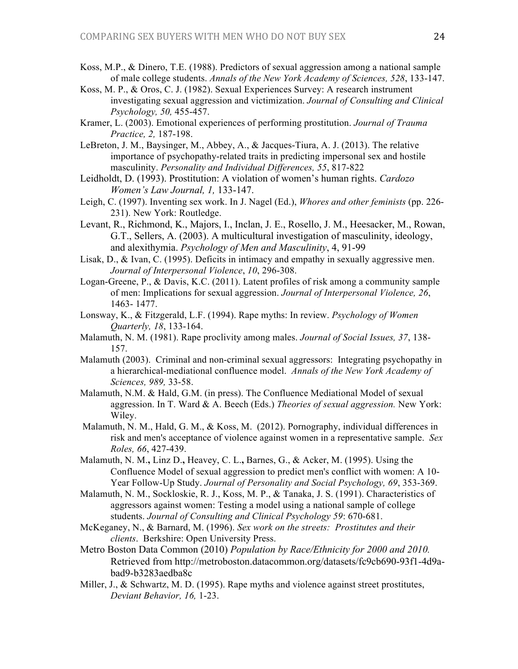- Koss, M.P., & Dinero, T.E. (1988). Predictors of sexual aggression among a national sample of male college students. *Annals of the New York Academy of Sciences, 528*, 133-147.
- Koss, M. P., & Oros, C. J. (1982). Sexual Experiences Survey: A research instrument investigating sexual aggression and victimization. *Journal of Consulting and Clinical Psychology, 50,* 455-457.
- Kramer, L. (2003). Emotional experiences of performing prostitution. *Journal of Trauma Practice, 2,* 187-198.
- LeBreton, J. M., Baysinger, M., Abbey, A., & Jacques-Tiura, A. J. (2013). The relative importance of psychopathy-related traits in predicting impersonal sex and hostile masculinity. *Personality and Individual Differences, 55*, 817-822
- Leidholdt, D. (1993). Prostitution: A violation of women's human rights. *Cardozo Women's Law Journal, 1,* 133-147.
- Leigh, C. (1997). Inventing sex work. In J. Nagel (Ed.), *Whores and other feminists* (pp. 226- 231). New York: Routledge.
- Levant, R., Richmond, K., Majors, I., Inclan, J. E., Rosello, J. M., Heesacker, M., Rowan, G.T., Sellers, A. (2003). A multicultural investigation of masculinity, ideology, and alexithymia. *Psychology of Men and Masculinity*, 4, 91-99
- Lisak, D., & Ivan, C. (1995). Deficits in intimacy and empathy in sexually aggressive men. *Journal of Interpersonal Violence*, *10*, 296-308.
- Logan-Greene, P., & Davis, K.C. (2011). Latent profiles of risk among a community sample of men: Implications for sexual aggression. *Journal of Interpersonal Violence, 26*, 1463- 1477.
- Lonsway, K., & Fitzgerald, L.F. (1994). Rape myths: In review. *Psychology of Women Quarterly, 18*, 133-164.
- Malamuth, N. M. (1981). Rape proclivity among males. *Journal of Social Issues, 37*, 138- 157.
- Malamuth (2003). Criminal and non-criminal sexual aggressors: Integrating psychopathy in a hierarchical-mediational confluence model. *Annals of the New York Academy of Sciences, 989,* 33-58.
- Malamuth, N.M. & Hald, G.M. (in press). The Confluence Mediational Model of sexual aggression. In T. Ward & A. Beech (Eds.) *Theories of sexual aggression.* New York: Wiley.
- Malamuth, N. M., Hald, G. M., & Koss, M. (2012). Pornography, individual differences in risk and men's acceptance of violence against women in a representative sample. *Sex Roles, 66*, 427-439.
- Malamuth, N. M.**,** Linz D.**,** Heavey, C. L.**,** Barnes, G., & Acker, M. (1995). Using the Confluence Model of sexual aggression to predict men's conflict with women: A 10- Year Follow-Up Study. *Journal of Personality and Social Psychology, 69*, 353-369.
- Malamuth, N. M., Sockloskie, R. J., Koss, M. P., & Tanaka, J. S. (1991). Characteristics of aggressors against women: Testing a model using a national sample of college students. *Journal of Consulting and Clinical Psychology 59*: 670-681.
- McKeganey, N., & Barnard, M. (1996). *Sex work on the streets: Prostitutes and their clients*. Berkshire: Open University Press.
- Metro Boston Data Common (2010) *Population by Race/Ethnicity for 2000 and 2010.* Retrieved from http://metroboston.datacommon.org/datasets/fc9cb690-93f1-4d9abad9-b3283aedba8c
- Miller, J., & Schwartz, M. D. (1995). Rape myths and violence against street prostitutes, *Deviant Behavior, 16,* 1-23.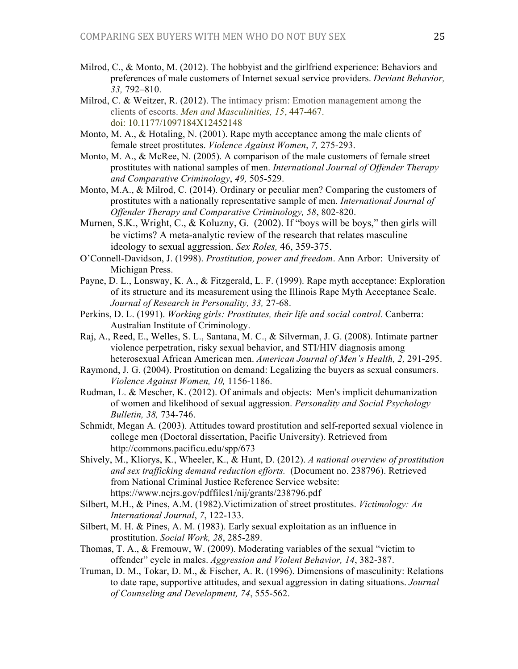- Milrod, C., & Monto, M. (2012). The hobbyist and the girlfriend experience: Behaviors and preferences of male customers of Internet sexual service providers. *Deviant Behavior, 33,* 792–810.
- Milrod, C. & Weitzer, R. (2012). The intimacy prism: Emotion management among the clients of escorts. *Men and Masculinities, 15*, 447-467. doi: 10.1177/1097184X12452148
- Monto, M. A., & Hotaling, N. (2001). Rape myth acceptance among the male clients of female street prostitutes. *Violence Against Women*, *7,* 275-293.
- Monto, M. A., & McRee, N. (2005). A comparison of the male customers of female street prostitutes with national samples of men. *International Journal of Offender Therapy and Comparative Criminology*, *49,* 505-529.
- Monto, M.A., & Milrod, C. (2014). Ordinary or peculiar men? Comparing the customers of prostitutes with a nationally representative sample of men. *International Journal of Offender Therapy and Comparative Criminology, 58*, 802-820.
- Murnen, S.K., Wright, C., & Koluzny, G. (2002). If "boys will be boys," then girls will be victims? A meta-analytic review of the research that relates masculine ideology to sexual aggression. *Sex Roles,* 46, 359-375.
- O'Connell-Davidson, J. (1998). *Prostitution, power and freedom*. Ann Arbor: University of Michigan Press.
- Payne, D. L., Lonsway, K. A., & Fitzgerald, L. F. (1999). Rape myth acceptance: Exploration of its structure and its measurement using the Illinois Rape Myth Acceptance Scale. *Journal of Research in Personality, 33,* 27-68.
- Perkins, D. L. (1991). *Working girls: Prostitutes, their life and social control.* Canberra: Australian Institute of Criminology.
- Raj, A., Reed, E., Welles, S. L., Santana, M. C., & Silverman, J. G. (2008). Intimate partner violence perpetration, risky sexual behavior, and STI/HIV diagnosis among heterosexual African American men. *American Journal of Men's Health, 2,* 291-295.
- Raymond, J. G. (2004). Prostitution on demand: Legalizing the buyers as sexual consumers. *Violence Against Women, 10,* 1156-1186.
- Rudman, L. & Mescher, K. (2012). Of animals and objects: Men's implicit dehumanization of women and likelihood of sexual aggression. *Personality and Social Psychology Bulletin, 38,* 734-746.
- Schmidt, Megan A. (2003). Attitudes toward prostitution and self-reported sexual violence in college men (Doctoral dissertation, Pacific University). Retrieved from http://commons.pacificu.edu/spp/673
- Shively, M., Kliorys, K., Wheeler, K., & Hunt, D. (2012). *A national overview of prostitution and sex trafficking demand reduction efforts.* (Document no. 238796). Retrieved from National Criminal Justice Reference Service website: https://www.ncjrs.gov/pdffiles1/nij/grants/238796.pdf
- Silbert, M.H., & Pines, A.M. (1982).Victimization of street prostitutes. *Victimology: An International Journal*, *7*, 122-133.
- Silbert, M. H. & Pines, A. M. (1983). Early sexual exploitation as an influence in prostitution. *Social Work, 28*, 285-289.
- Thomas, T. A., & Fremouw, W. (2009). Moderating variables of the sexual "victim to offender" cycle in males. *Aggression and Violent Behavior, 14*, 382-387.
- Truman, D. M., Tokar, D. M., & Fischer, A. R. (1996). Dimensions of masculinity: Relations to date rape, supportive attitudes, and sexual aggression in dating situations. *Journal of Counseling and Development, 74*, 555-562.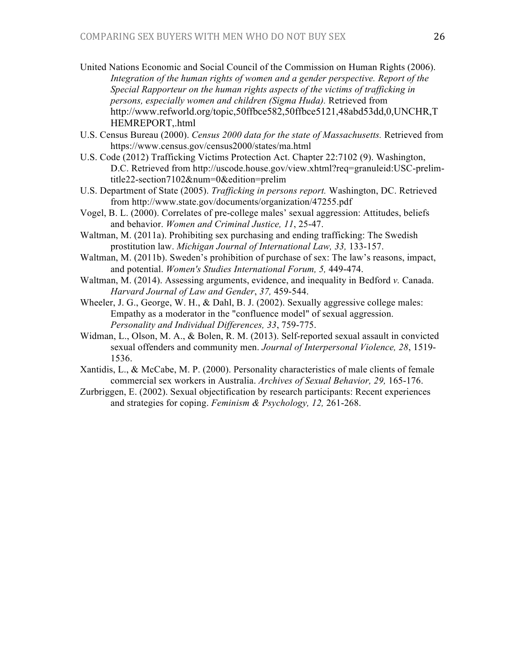- United Nations Economic and Social Council of the Commission on Human Rights (2006). Integration of the human rights of women and a gender perspective. Report of the *Special Rapporteur on the human rights aspects of the victims of trafficking in persons, especially women and children (Sigma Huda).* Retrieved from http://www.refworld.org/topic,50ffbce582,50ffbce5121,48abd53dd,0,UNCHR,T HEMREPORT,.html
- U.S. Census Bureau (2000). *Census 2000 data for the state of Massachusetts.* Retrieved from https://www.census.gov/census2000/states/ma.html
- U.S. Code (2012) Trafficking Victims Protection Act. Chapter 22:7102 (9). Washington, D.C. Retrieved from http://uscode.house.gov/view.xhtml?req=granuleid:USC-prelimtitle22-section7102&num=0&edition=prelim
- U.S. Department of State (2005). *Trafficking in persons report.* Washington, DC. Retrieved from http://www.state.gov/documents/organization/47255.pdf
- Vogel, B. L. (2000). Correlates of pre-college males' sexual aggression: Attitudes, beliefs and behavior. *Women and Criminal Justice, 11*, 25-47.
- Waltman, M. (2011a). Prohibiting sex purchasing and ending trafficking: The Swedish prostitution law. *Michigan Journal of International Law, 33,* 133-157.
- Waltman, M. (2011b). Sweden's prohibition of purchase of sex: The law's reasons, impact, and potential. *Women's Studies International Forum, 5,* 449-474.
- Waltman, M. (2014). Assessing arguments, evidence, and inequality in Bedford *v.* Canada. *Harvard Journal of Law and Gender*, *37,* 459-544.
- Wheeler, J. G., George, W. H., & Dahl, B. J. (2002). Sexually aggressive college males: Empathy as a moderator in the "confluence model" of sexual aggression. *Personality and Individual Differences, 33*, 759-775.
- Widman, L., Olson, M. A., & Bolen, R. M. (2013). Self-reported sexual assault in convicted sexual offenders and community men. *Journal of Interpersonal Violence, 28*, 1519- 1536.
- Xantidis, L., & McCabe, M. P. (2000). Personality characteristics of male clients of female commercial sex workers in Australia. *Archives of Sexual Behavior, 29,* 165-176.
- Zurbriggen, E. (2002). Sexual objectification by research participants: Recent experiences and strategies for coping. *Feminism & Psychology, 12,* 261-268.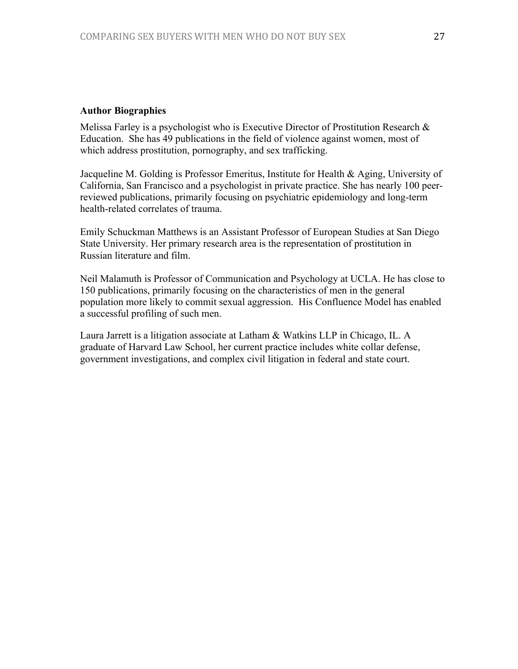## **Author Biographies**

Melissa Farley is a psychologist who is Executive Director of Prostitution Research & Education. She has 49 publications in the field of violence against women, most of which address prostitution, pornography, and sex trafficking.

Jacqueline M. Golding is Professor Emeritus, Institute for Health & Aging, University of California, San Francisco and a psychologist in private practice. She has nearly 100 peerreviewed publications, primarily focusing on psychiatric epidemiology and long-term health-related correlates of trauma.

Emily Schuckman Matthews is an Assistant Professor of European Studies at San Diego State University. Her primary research area is the representation of prostitution in Russian literature and film.

Neil Malamuth is Professor of Communication and Psychology at UCLA. He has close to 150 publications, primarily focusing on the characteristics of men in the general population more likely to commit sexual aggression. His Confluence Model has enabled a successful profiling of such men.

Laura Jarrett is a litigation associate at Latham & Watkins LLP in Chicago, IL. A graduate of Harvard Law School, her current practice includes white collar defense, government investigations, and complex civil litigation in federal and state court.